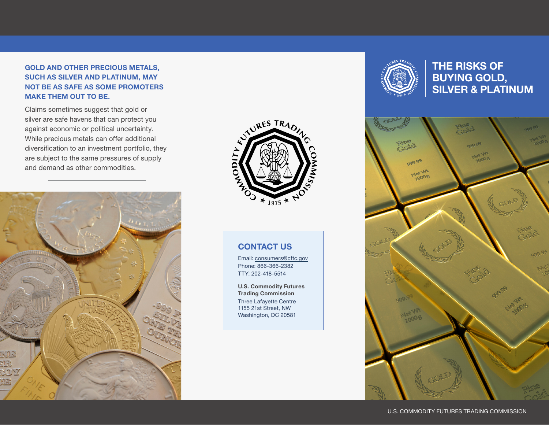#### GOLD AND OTHER PRECIOUS METALS, SUCH AS SILVER AND PLATINUM, MAY NOT BE AS SAFE AS SOME PROMOTERS MAKE THEM OUT TO BE.

Claims sometimes suggest that gold or silver are safe havens that can protect you against economic or political uncertainty. While precious metals can offer additional diversification to an investment portfolio, they are subject to the same pressures of supply and demand as other commodities.





#### CONTACT US

Email: [consumers@cftc.gov](mailto: consumers@cftc.gov) Phone: 866-366-2382 TTY: 202-418-5514

U.S. Commodity Futures Trading Commission Three Lafayette Centre 1155 21st Street, NW Washington, DC 20581



THE RISKS OF BUYING GOLD, SILVER & PLATINUM